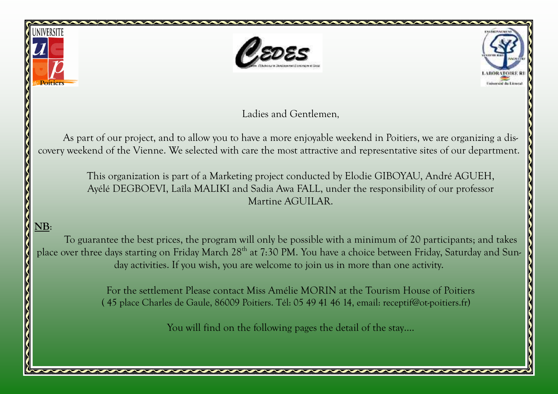





Ladies and Gentlemen,

As part of our project, and to allow you to have a more enjoyable weekend in Poitiers, we are organizing a discovery weekend of the Vienne. We selected with care the most attractive and representative sites of our department.

> This organization is part of a Marketing project conducted by Elodie GIBOYAU, André AGUEH, Ayélé DEGBOEVI, Laîla MALIKI and Sadia Awa FALL, under the responsibility of our professor Martine AGUILAR.

# NB:

 $\overline{\mathsf{S}}$ 

To guarantee the best prices, the program will only be possible with a minimum of 20 participants; and takes place over three days starting on Friday March 28<sup>th</sup> at 7:30 PM. You have a choice between Friday, Saturday and Sunday activities. If you wish, you are welcome to join us in more than one activity.

> For the settlement Please contact Miss Amélie MORIN at the Tourism House of Poitiers ( 45 place Charles de Gaule, 86009 Poitiers. Tél: 05 49 41 46 14, email: receptif@ot-poitiers.fr)

> > You will find on the following pages the detail of the stay....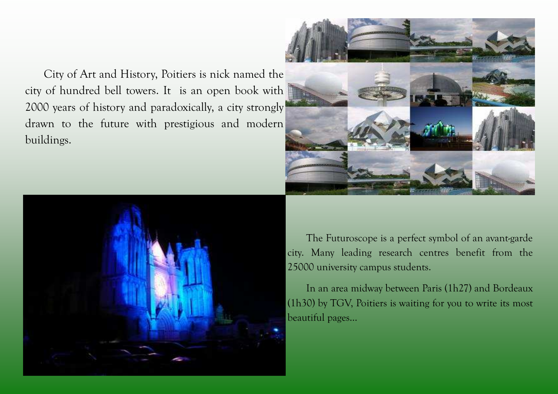City of Art and History, Poitiers is nick named thecity of hundred bell towers. It is an open book with 2000 years of history and paradoxically, a city strongly drawn to the future with prestigious and modern buildings.





The Futuroscope is a perfect symbol of an avant-garde city. Many leading research centres benefit from the 25000 university campus students.

 In an area midway between Paris (1h27) and Bordeaux (1h30) by TGV, Poitiers is waiting for you to write its most beautiful pages…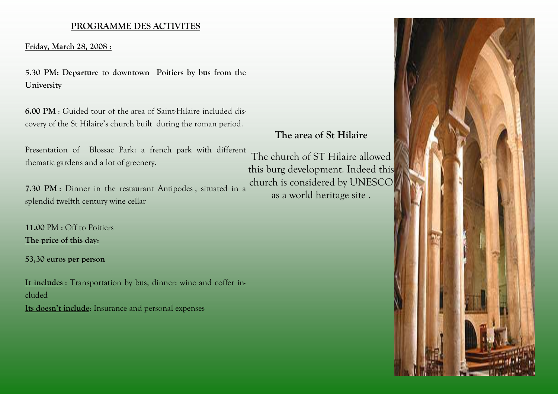### PROGRAMME DES ACTIVITES

Friday, March 28, 2008 :

5.30 PM: Departure to downtown Poitiers by bus from the University

6.00 PM : Guided tour of the area of Saint-Hilaire included discovery of the St Hilaire's church built during the roman period.

Presentation of Blossac Park: a french park with different thematic gardens and a lot of greenery.

7.30 PM : Dinner in the restaurant Antipodes , situated in a splendid twelfth century wine cellar

11.00 PM : Off to Poitiers The price of this day:

53,30 euros per person

It includes : Transportation by bus, dinner: wine and coffer included Its doesn't include: Insurance and personal expenses

# The area of St Hilaire

The church of ST Hilaire allowed this burg development. Indeed this church is considered by UNESCO as a world heritage site .

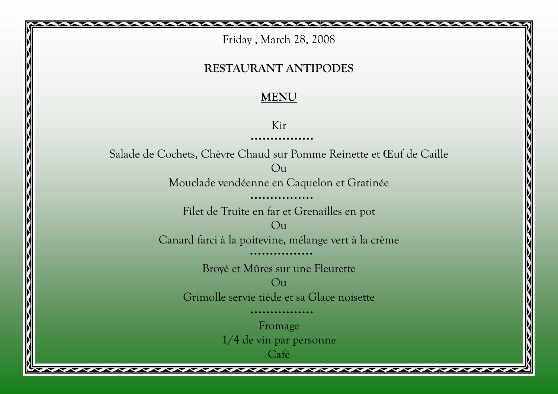Friday , March 28, 2008

## RESTAURANT ANTIPODES

# MENU

Kir

. . . . . . . . . . . .

Salade de Cochets, Chèvre Chaud sur Pomme Reinette et Œuf de Caille Ou Mouclade vendéenne en Caquelon et Gratinée Filet de Truite en far et Grenailles en pot  $O<sub>u</sub>$ Canard farci à la poitevine, mélange vert à la crème Broyé et Mûres sur une Fleurette  $O<sub>11</sub>$ Grimolle servie tiède et sa Glace noisette Fromage 1/4 de vin par personne Café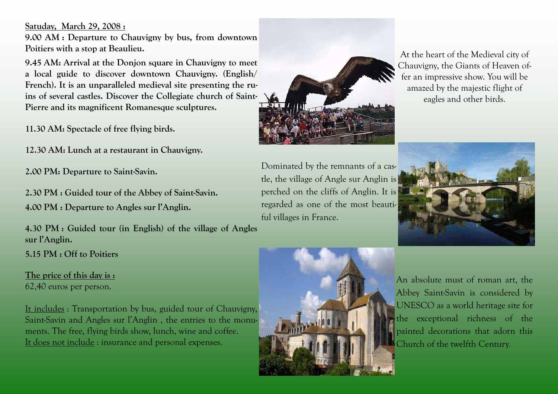Satuday, March 29, 2008 :

9.00 AM : Departure to Chauvigny by bus, from downtown Poitiers with a stop at Beaulieu.

9.45 AM: Arrival at the Donjon square in Chauvigny to meet a local guide to discover downtown Chauvigny. (English/ French). It is an unparalleled medieval site presenting the ruins of several castles. Discover the Collegiate church of Saint-Pierre and its magnificent Romanesque sculptures.

11.30 AM: Spectacle of free flying birds.

12.30 AM: Lunch at a restaurant in Chauvigny.

2.00 PM: Departure to Saint-Savin.

2.30 PM : Guided tour of the Abbey of Saint-Savin. 4.00 PM : Departure to Angles sur l'Anglin.

4.30 PM : Guided tour (in English) of the village of Angles sur l'Anglin.

5.15 PM : Off to Poitiers

The price of this day is : 62,40 euros per person.

It includes : Transportation by bus, guided tour of Chauvigny,Saint-Savin and Angles sur l'Anglin , the entries to the monuments. The free, flying birds show, lunch, wine and coffee. It does not include : insurance and personal expenses.



Dominated by the remnants of a castle, the village of Angle sur Anglin is perched on the cliffs of Anglin. It is regarded as one of the most beautiful villages in France.



At the heart of the Medieval city of Chauvigny, the Giants of Heaven offer an impressive show. You will be amazed by the majestic flight of eagles and other birds.



An absolute must of roman art, the Abbey Saint-Savin is considered by UNESCO as a world heritage site for the exceptional richness of the painted decorations that adorn this **Church of the twelfth Century.**